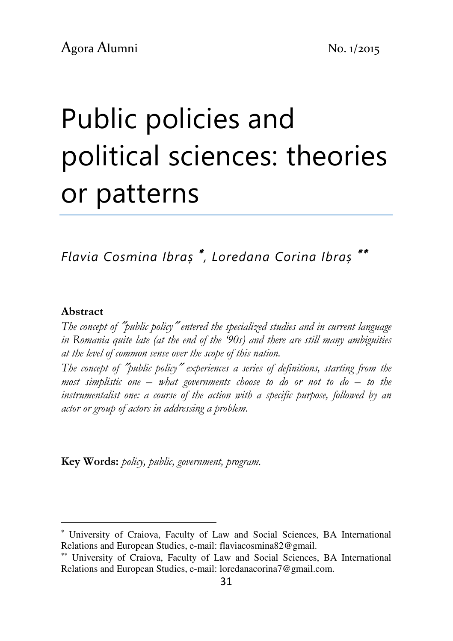# Public policies and political sciences: theories or patterns

Flavia Cosmina Ibraș <sup>∗</sup> , Loredana Corina Ibraș ∗∗

#### Abstract

l

The concept of ″public policy″ entered the specialized studies and in current language in Romania quite late (at the end of the '90s) and there are still many ambiguities at the level of common sense over the scope of this nation.

The concept of "public policy" experiences a series of definitions, starting from the most simplistic one  $-$  what governments choose to do or not to do  $-$  to the instrumentalist one: a course of the action with a specific purpose, followed by an actor or group of actors in addressing a problem.

Key Words: policy, public, government, program.

<sup>∗</sup> University of Craiova, Faculty of Law and Social Sciences, BA International Relations and European Studies, e-mail: flaviacosmina82@gmail.

<sup>∗∗</sup> University of Craiova, Faculty of Law and Social Sciences, BA International Relations and European Studies, e-mail: loredanacorina7@gmail.com.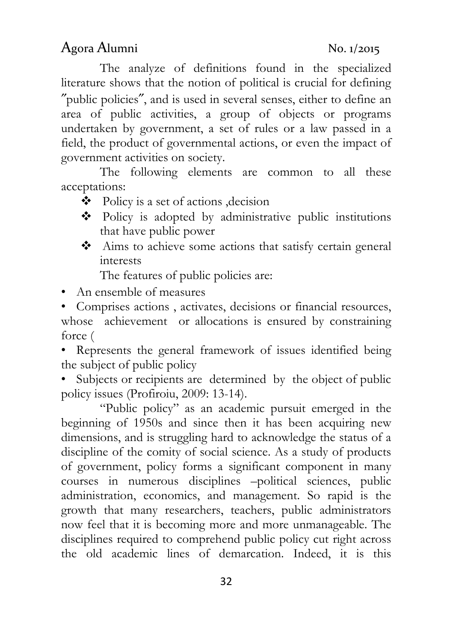field, the product of governmental actions, or even the impact of government activities on society.

The following elements are common to all these acceptations:

literature shows that the notion of political is crucial for defining ″public policies″, and is used in several senses, either to define an area of public activities, a group of objects or programs undertaken by government, a set of rules or a law passed in a

- $\triangleleft$  Policy is a set of actions ,decision
- Policy is adopted by administrative public institutions that have public power

The analyze of definitions found in the specialized

 Aims to achieve some actions that satisfy certain general interests

The features of public policies are:

• An ensemble of measures

• Comprises actions , activates, decisions or financial resources, whose achievement or allocations is ensured by constraining force (

• Represents the general framework of issues identified being the subject of public policy

• Subjects or recipients are determined by the object of public policy issues (Profiroiu, 2009: 13-14).

"Public policy" as an academic pursuit emerged in the beginning of 1950s and since then it has been acquiring new dimensions, and is struggling hard to acknowledge the status of a discipline of the comity of social science. As a study of products of government, policy forms a significant component in many courses in numerous disciplines –political sciences, public administration, economics, and management. So rapid is the growth that many researchers, teachers, public administrators now feel that it is becoming more and more unmanageable. The disciplines required to comprehend public policy cut right across the old academic lines of demarcation. Indeed, it is this

Agora Alumni No. 1/2015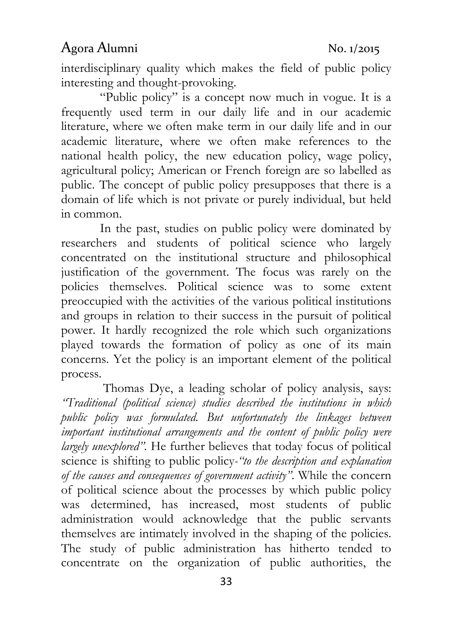interdisciplinary quality which makes the field of public policy interesting and thought-provoking.

"Public policy" is a concept now much in vogue. It is a frequently used term in our daily life and in our academic literature, where we often make term in our daily life and in our academic literature, where we often make references to the national health policy, the new education policy, wage policy, agricultural policy; American or French foreign are so labelled as public. The concept of public policy presupposes that there is a domain of life which is not private or purely individual, but held in common.

In the past, studies on public policy were dominated by researchers and students of political science who largely concentrated on the institutional structure and philosophical justification of the government. The focus was rarely on the policies themselves. Political science was to some extent preoccupied with the activities of the various political institutions and groups in relation to their success in the pursuit of political power. It hardly recognized the role which such organizations played towards the formation of policy as one of its main concerns. Yet the policy is an important element of the political process.

 Thomas Dye, a leading scholar of policy analysis, says: "Traditional (political science) studies described the institutions in which public policy was formulated. But unfortunately the linkages between important institutional arrangements and the content of public policy were largely unexplored". He further believes that today focus of political science is shifting to public policy-"to the description and explanation of the causes and consequences of government activity". While the concern of political science about the processes by which public policy was determined, has increased, most students of public administration would acknowledge that the public servants themselves are intimately involved in the shaping of the policies. The study of public administration has hitherto tended to concentrate on the organization of public authorities, the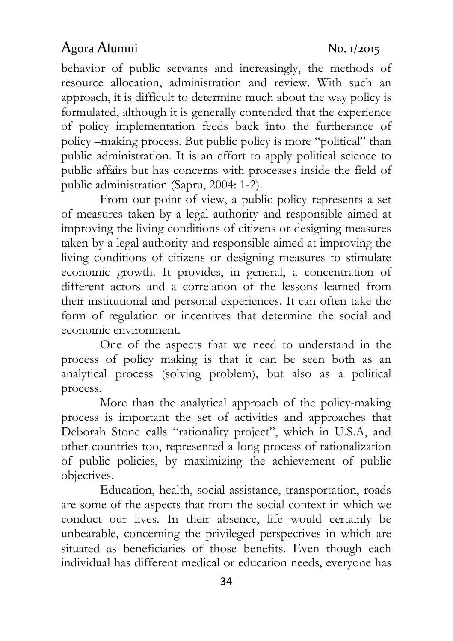behavior of public servants and increasingly, the methods of resource allocation, administration and review. With such an approach, it is difficult to determine much about the way policy is formulated, although it is generally contended that the experience of policy implementation feeds back into the furtherance of policy –making process. But public policy is more "political" than public administration. It is an effort to apply political science to public affairs but has concerns with processes inside the field of public administration (Sapru, 2004: 1-2).

From our point of view, a public policy represents a set of measures taken by a legal authority and responsible aimed at improving the living conditions of citizens or designing measures taken by a legal authority and responsible aimed at improving the living conditions of citizens or designing measures to stimulate economic growth. It provides, in general, a concentration of different actors and a correlation of the lessons learned from their institutional and personal experiences. It can often take the form of regulation or incentives that determine the social and economic environment.

One of the aspects that we need to understand in the process of policy making is that it can be seen both as an analytical process (solving problem), but also as a political process.

More than the analytical approach of the policy-making process is important the set of activities and approaches that Deborah Stone calls "rationality project", which in U.S.A, and other countries too, represented a long process of rationalization of public policies, by maximizing the achievement of public objectives.

Education, health, social assistance, transportation, roads are some of the aspects that from the social context in which we conduct our lives. In their absence, life would certainly be unbearable, concerning the privileged perspectives in which are situated as beneficiaries of those benefits. Even though each individual has different medical or education needs, everyone has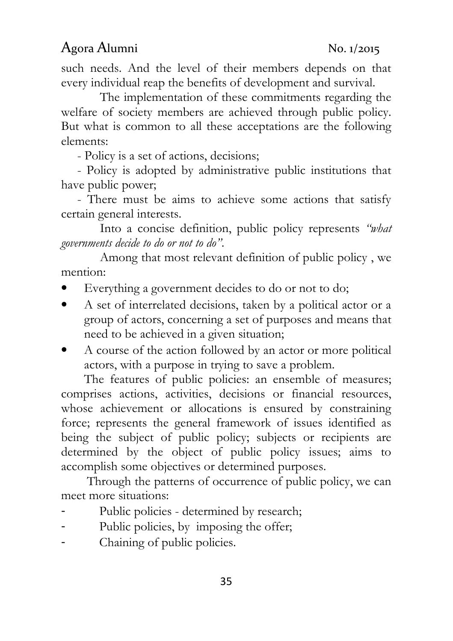such needs. And the level of their members depends on that every individual reap the benefits of development and survival.

The implementation of these commitments regarding the welfare of society members are achieved through public policy. But what is common to all these acceptations are the following elements:

- Policy is a set of actions, decisions;

 - Policy is adopted by administrative public institutions that have public power;

 - There must be aims to achieve some actions that satisfy certain general interests.

Into a concise definition, public policy represents "what governments decide to do or not to do".

Among that most relevant definition of public policy , we mention:

- Everything a government decides to do or not to do;
- A set of interrelated decisions, taken by a political actor or a group of actors, concerning a set of purposes and means that need to be achieved in a given situation;
- A course of the action followed by an actor or more political actors, with a purpose in trying to save a problem.

The features of public policies: an ensemble of measures; comprises actions, activities, decisions or financial resources, whose achievement or allocations is ensured by constraining force; represents the general framework of issues identified as being the subject of public policy; subjects or recipients are determined by the object of public policy issues; aims to accomplish some objectives or determined purposes.

 Through the patterns of occurrence of public policy, we can meet more situations:

- Public policies determined by research;
- Public policies, by imposing the offer;
- Chaining of public policies.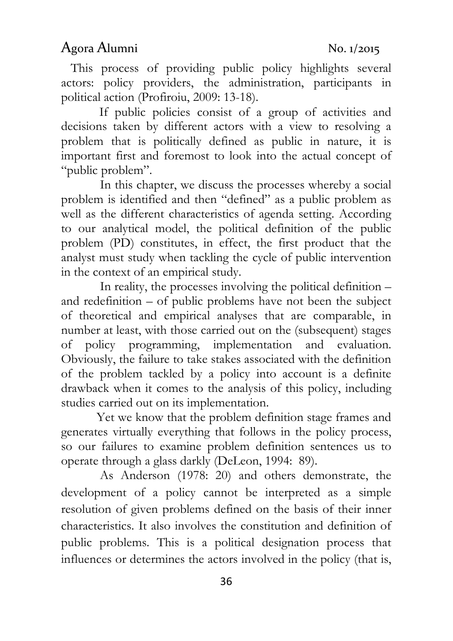This process of providing public policy highlights several actors: policy providers, the administration, participants in political action (Profiroiu, 2009: 13-18).

 If public policies consist of a group of activities and decisions taken by different actors with a view to resolving a problem that is politically defined as public in nature, it is important first and foremost to look into the actual concept of "public problem".

In this chapter, we discuss the processes whereby a social problem is identified and then "defined" as a public problem as well as the different characteristics of agenda setting. According to our analytical model, the political definition of the public problem (PD) constitutes, in effect, the first product that the analyst must study when tackling the cycle of public intervention in the context of an empirical study.

In reality, the processes involving the political definition – and redefinition – of public problems have not been the subject of theoretical and empirical analyses that are comparable, in number at least, with those carried out on the (subsequent) stages of policy programming, implementation and evaluation. Obviously, the failure to take stakes associated with the definition of the problem tackled by a policy into account is a definite drawback when it comes to the analysis of this policy, including studies carried out on its implementation.

 Yet we know that the problem definition stage frames and generates virtually everything that follows in the policy process, so our failures to examine problem definition sentences us to operate through a glass darkly (DeLeon, 1994: 89).

As Anderson (1978: 20) and others demonstrate, the development of a policy cannot be interpreted as a simple resolution of given problems defined on the basis of their inner characteristics. It also involves the constitution and definition of public problems. This is a political designation process that influences or determines the actors involved in the policy (that is,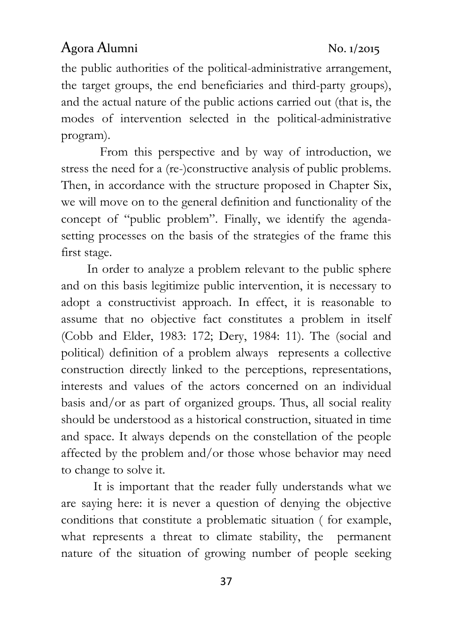the public authorities of the political-administrative arrangement, the target groups, the end beneficiaries and third-party groups), and the actual nature of the public actions carried out (that is, the modes of intervention selected in the political-administrative program).

From this perspective and by way of introduction, we stress the need for a (re-)constructive analysis of public problems. Then, in accordance with the structure proposed in Chapter Six, we will move on to the general definition and functionality of the concept of "public problem". Finally, we identify the agendasetting processes on the basis of the strategies of the frame this first stage.

 In order to analyze a problem relevant to the public sphere and on this basis legitimize public intervention, it is necessary to adopt a constructivist approach. In effect, it is reasonable to assume that no objective fact constitutes a problem in itself (Cobb and Elder, 1983: 172; Dery, 1984: 11). The (social and political) definition of a problem always represents a collective construction directly linked to the perceptions, representations, interests and values of the actors concerned on an individual basis and/or as part of organized groups. Thus, all social reality should be understood as a historical construction, situated in time and space. It always depends on the constellation of the people affected by the problem and/or those whose behavior may need to change to solve it.

 It is important that the reader fully understands what we are saying here: it is never a question of denying the objective conditions that constitute a problematic situation ( for example, what represents a threat to climate stability, the permanent nature of the situation of growing number of people seeking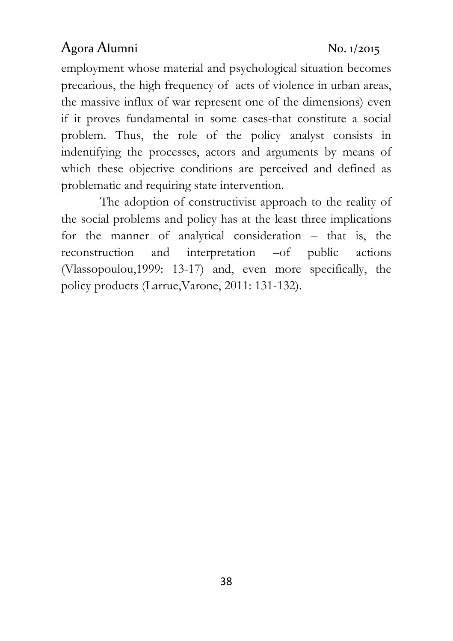employment whose material and psychological situation becomes precarious, the high frequency of acts of violence in urban areas, the massive influx of war represent one of the dimensions) even if it proves fundamental in some cases-that constitute a social problem. Thus, the role of the policy analyst consists in indentifying the processes, actors and arguments by means of which these objective conditions are perceived and defined as problematic and requiring state intervention.

The adoption of constructivist approach to the reality of the social problems and policy has at the least three implications for the manner of analytical consideration – that is, the reconstruction and interpretation –of public actions (Vlassopoulou,1999: 13-17) and, even more specifically, the policy products (Larrue,Varone, 2011: 131-132).